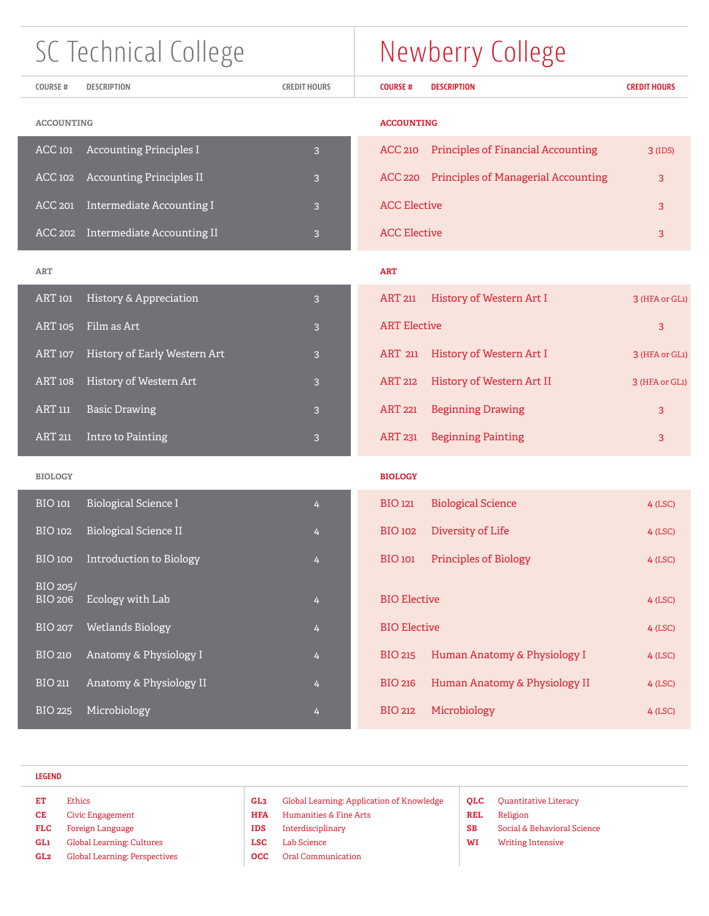| SC Technical College       |                                 |                     | Newberry College                                             |                     |  |  |
|----------------------------|---------------------------------|---------------------|--------------------------------------------------------------|---------------------|--|--|
| <b>COURSE#</b>             | <b>DESCRIPTION</b>              | <b>CREDIT HOURS</b> | <b>DESCRIPTION</b><br><b>COURSE#</b>                         | <b>CREDIT HOURS</b> |  |  |
| <b>ACCOUNTING</b>          |                                 |                     | <b>ACCOUNTING</b>                                            |                     |  |  |
| <b>ACC 101</b>             | <b>Accounting Principles I</b>  | 3                   | <b>Principles of Financial Accounting</b><br><b>ACC 210</b>  | $3$ (IDS)           |  |  |
| ACC 102                    | <b>Accounting Principles II</b> | 3                   | <b>Principles of Managerial Accounting</b><br><b>ACC 220</b> | 3                   |  |  |
| <b>ACC 201</b>             | Intermediate Accounting I       | 3                   | <b>ACC Elective</b>                                          | 3                   |  |  |
| ACC 202                    | Intermediate Accounting II      | 3                   | <b>ACC Elective</b>                                          | 3                   |  |  |
| <b>ART</b>                 |                                 |                     | <b>ART</b>                                                   |                     |  |  |
| ART 101                    | History & Appreciation          | 3                   | <b>ART 211</b><br>History of Western Art I                   | 3 (HFA or GL1)      |  |  |
| <b>ART 105</b>             | Film as Art                     | 3                   | <b>ART Elective</b>                                          | 3                   |  |  |
| <b>ART 107</b>             | History of Early Western Art    | 3                   | <b>ART 211</b><br>History of Western Art I                   | 3 (HFA or GL1)      |  |  |
| <b>ART 108</b>             | History of Western Art          | 3                   | <b>ART 212</b><br>History of Western Art II                  | 3 (HFA or GL1)      |  |  |
| <b>ART 111</b>             | <b>Basic Drawing</b>            | 3                   | <b>ART 221</b><br><b>Beginning Drawing</b>                   | 3                   |  |  |
| <b>ART 211</b>             | Intro to Painting               | 3                   | <b>ART 231</b><br><b>Beginning Painting</b>                  | 3                   |  |  |
| <b>BIOLOGY</b>             |                                 |                     | <b>BIOLOGY</b>                                               |                     |  |  |
| BIO 101                    | <b>Biological Science I</b>     | 4                   | <b>BIO 121</b><br><b>Biological Science</b>                  | $4$ (LSC)           |  |  |
| <b>BIO 102</b>             | <b>Biological Science II</b>    | 4                   | <b>BIO 102</b><br>Diversity of Life                          | $4$ (LSC)           |  |  |
| <b>BIO 100</b>             | Introduction to Biology         | 4                   | <b>Principles of Biology</b><br><b>BIO 101</b>               | $4$ (LSC)           |  |  |
| BIO 205/<br><b>BIO 206</b> | Ecology with Lab                | 4                   | <b>BIO Elective</b>                                          | $4$ (LSC)           |  |  |
| <b>BIO 207</b>             | <b>Wetlands Biology</b>         | 4                   | <b>BIO Elective</b>                                          | $4$ (LSC)           |  |  |
| <b>BIO 210</b>             | Anatomy & Physiology I          | 4                   | <b>BIO 215</b><br>Human Anatomy & Physiology I               | $4$ (LSC)           |  |  |
| <b>BIO 211</b>             | Anatomy & Physiology II         | 4                   | Human Anatomy & Physiology II<br><b>BIO 216</b>              | $4$ (LSC)           |  |  |
| <b>BIO 225</b>             | Microbiology                    | 4                   | Microbiology<br><b>BIO 212</b>                               | $4$ (LSC)           |  |  |

| <b>LEGEND</b>                                      |                                                                                                              |                                                                         |                                                                                                                                             |                                             |                                                                                                     |  |
|----------------------------------------------------|--------------------------------------------------------------------------------------------------------------|-------------------------------------------------------------------------|---------------------------------------------------------------------------------------------------------------------------------------------|---------------------------------------------|-----------------------------------------------------------------------------------------------------|--|
| EТ<br><b>CE</b><br><b>FLC</b><br><b>GL1</b><br>GL2 | Ethics<br>Civic Engagement<br>Foreign Language<br>Global Learning: Cultures<br>Global Learning: Perspectives | GL <sub>3</sub><br><b>HFA</b><br><b>IDS</b><br><b>LSC</b><br><b>OCC</b> | Global Learning: Application of Knowledge<br>Humanities & Fine Arts<br>Interdisciplinary<br><b>Lab Science</b><br><b>Oral Communication</b> | <b>OLC</b><br><b>REL</b><br><b>SB</b><br>WI | <b>Quantitative Literacy</b><br>Religion<br>Social & Behavioral Science<br><b>Writing Intensive</b> |  |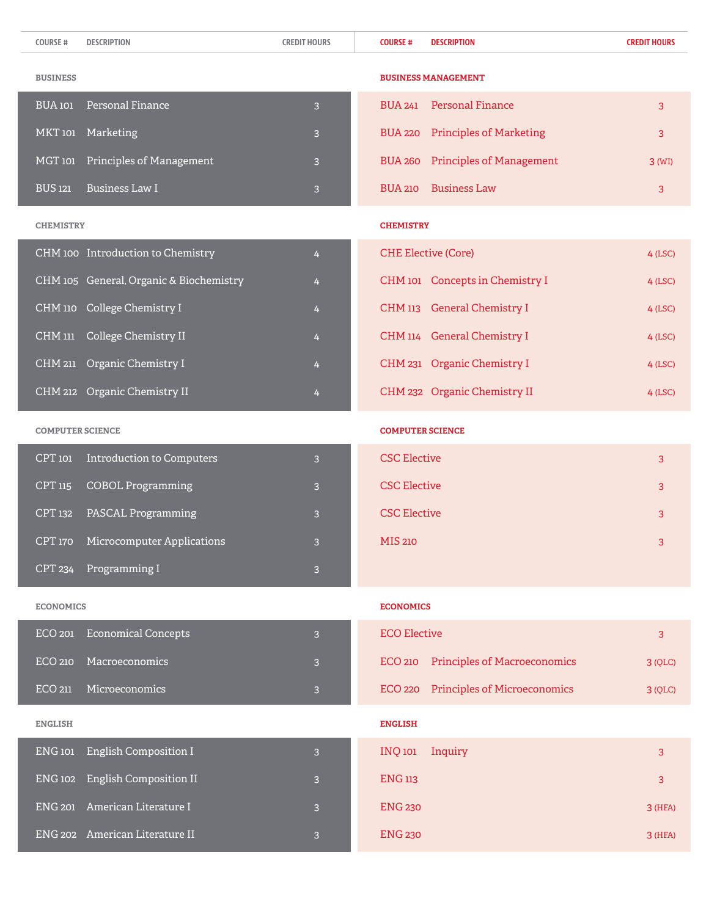| <b>COURSE#</b>          | <b>DESCRIPTION</b>                      | <b>CREDIT HOURS</b> | <b>COURSE#</b><br><b>DESCRIPTION</b>              | <b>CREDIT HOURS</b> |
|-------------------------|-----------------------------------------|---------------------|---------------------------------------------------|---------------------|
| <b>BUSINESS</b>         |                                         |                     | <b>BUSINESS MANAGEMENT</b>                        |                     |
| <b>BUA</b> 101          | Personal Finance                        | $\overline{3}$      | <b>Personal Finance</b><br><b>BUA 241</b>         | 3                   |
| MKT 101                 | Marketing                               | 3                   | <b>Principles of Marketing</b><br><b>BUA 220</b>  | 3                   |
| MGT 101                 | Principles of Management                | 3                   | <b>Principles of Management</b><br><b>BUA 260</b> | $3$ (WI)            |
| <b>BUS 121</b>          | <b>Business Law I</b>                   | 3                   | <b>Business Law</b><br><b>BUA 210</b>             | 3                   |
| <b>CHEMISTRY</b>        |                                         |                     | <b>CHEMISTRY</b>                                  |                     |
|                         | CHM 100 Introduction to Chemistry       | 4                   | <b>CHE Elective (Core)</b>                        | $4$ (LSC)           |
|                         | CHM 105 General, Organic & Biochemistry | 4                   | CHM 101 Concepts in Chemistry I                   | $4$ (LSC)           |
|                         | CHM 110 College Chemistry I             | 4                   | CHM 113 General Chemistry I                       | $4$ (LSC)           |
| CHM 111                 | College Chemistry II                    | 4                   | CHM 114 General Chemistry I                       | $4$ (LSC)           |
|                         | CHM 211 Organic Chemistry I             | 4                   | CHM 231 Organic Chemistry I                       | $4$ (LSC)           |
|                         | CHM 212 Organic Chemistry II            | 4                   | CHM 232 Organic Chemistry II                      | $4$ (LSC)           |
| <b>COMPUTER SCIENCE</b> |                                         |                     | <b>COMPUTER SCIENCE</b>                           |                     |
| CPT 101                 | <b>Introduction to Computers</b>        | 3                   | <b>CSC Elective</b>                               | 3                   |
| CPT 115                 | <b>COBOL Programming</b>                | 3                   | <b>CSC Elective</b>                               | 3                   |
| CPT 132                 | PASCAL Programming                      | 3                   | <b>CSC Elective</b>                               | 3                   |
| <b>CPT 170</b>          | <b>Microcomputer Applications</b>       | 3                   | <b>MIS 210</b>                                    | 3                   |
| CPT 234                 | Programming I                           | 3                   |                                                   |                     |
| <b>ECONOMICS</b>        |                                         |                     | <b>ECONOMICS</b>                                  |                     |
| <b>ECO 201</b>          | <b>Economical Concepts</b>              | 3                   | <b>ECO Elective</b>                               | 3                   |
| <b>ECO 210</b>          | Macroeconomics                          | $\overline{3}$      | <b>Principles of Macroeconomics</b><br>ECO 210    | 3 (QLC)             |
| ECO 211                 | Microeconomics                          | 3                   | ECO 220 Principles of Microeconomics              | 3 (QLC)             |
| <b>ENGLISH</b>          |                                         |                     | <b>ENGLISH</b>                                    |                     |
| ENG 101                 | English Composition I                   | 3                   | <b>INQ 101</b><br>Inquiry                         | 3                   |
| <b>ENG 102</b>          | <b>English Composition II</b>           | 3                   | <b>ENG 113</b>                                    | 3                   |
| <b>ENG 201</b>          | American Literature I                   | 3                   | <b>ENG 230</b>                                    | 3 (HFA)             |
|                         | ENG 202 American Literature II          | $\overline{3}$      | <b>ENG 230</b>                                    | $3$ (HFA)           |
|                         |                                         |                     |                                                   |                     |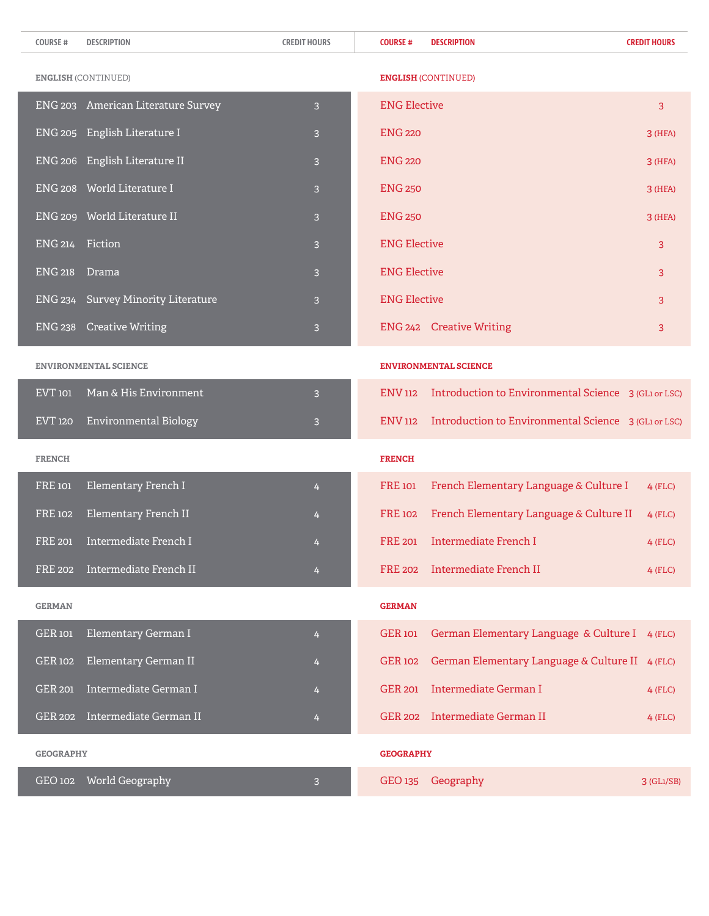| <b>COURSE#</b>   | <b>DESCRIPTION</b>                | <b>CREDIT HOURS</b> | <b>DESCRIPTION</b><br><b>COURSE#</b>                                   | <b>CREDIT HOURS</b> |
|------------------|-----------------------------------|---------------------|------------------------------------------------------------------------|---------------------|
|                  | <b>ENGLISH (CONTINUED)</b>        |                     | <b>ENGLISH (CONTINUED)</b>                                             |                     |
| <b>ENG 203</b>   | <b>American Literature Survey</b> | 3                   | <b>ENG Elective</b>                                                    | 3                   |
| <b>ENG 205</b>   | English Literature I              | 3                   | <b>ENG 220</b>                                                         | 3 (HFA)             |
|                  | ENG 206 English Literature II     | 3                   | <b>ENG 220</b>                                                         | $3$ (HFA)           |
|                  | ENG 208 World Literature I        | 3                   | <b>ENG 250</b>                                                         | $3$ (HFA)           |
|                  | ENG 209 World Literature II       | 3                   | <b>ENG 250</b>                                                         | 3 (HFA)             |
| ENG 214          | Fiction                           | 3                   | <b>ENG Elective</b>                                                    | 3                   |
| <b>ENG 218</b>   | Drama                             | 3                   | <b>ENG Elective</b>                                                    | 3                   |
| <b>ENG 234</b>   | <b>Survey Minority Literature</b> | 3                   | <b>ENG Elective</b>                                                    | 3                   |
| <b>ENG 238</b>   | <b>Creative Writing</b>           | 3                   | ENG 242 Creative Writing                                               | 3                   |
|                  | <b>ENVIRONMENTAL SCIENCE</b>      |                     | <b>ENVIRONMENTAL SCIENCE</b>                                           |                     |
| EVT 101          | Man & His Environment             | 3                   | Introduction to Environmental Science 3 (GLI or LSC)<br><b>ENV 112</b> |                     |
| EVT 120          | Environmental Biology             | 3                   | Introduction to Environmental Science 3 (GLI or LSC)<br><b>ENV 112</b> |                     |
| <b>FRENCH</b>    |                                   |                     | <b>FRENCH</b>                                                          |                     |
| <b>FRE</b> 101   | Elementary French I               | $\overline{4}$      | <b>FRE</b> 101<br>French Elementary Language & Culture I               | $4$ (FLC)           |
| <b>FRE 102</b>   | Elementary French II              | 4                   | French Elementary Language & Culture II<br><b>FRE 102</b>              | $4$ (FLC)           |
| <b>FRE 201</b>   | <b>Intermediate French I</b>      | 4                   | <b>FRE 201</b><br>Intermediate French I                                | $4$ (FLC)           |
| FRE 202          | Intermediate French II            | 4                   | FRE 202 Intermediate French II                                         | $4$ (FLC)           |
| <b>GERMAN</b>    |                                   |                     | <b>GERMAN</b>                                                          |                     |
| GER 101          | Elementary German I               | 4                   | German Elementary Language & Culture I 4 (FLC)<br><b>GER 101</b>       |                     |
| <b>GER 102</b>   | Elementary German II              | 4                   | <b>GER 102</b><br>German Elementary Language & Culture II 4 (FLC)      |                     |
| <b>GER 201</b>   | Intermediate German I             | 4                   | GER 201 Intermediate German I                                          | $4$ (FLC)           |
| GER 202          | Intermediate German II            | 4                   | GER 202 Intermediate German II                                         | $4$ (FLC)           |
| <b>GEOGRAPHY</b> |                                   |                     | <b>GEOGRAPHY</b>                                                       |                     |
|                  | GEO 102 World Geography           | 3                   | Geography<br>GEO 135                                                   | $3$ (GL1/SB)        |

I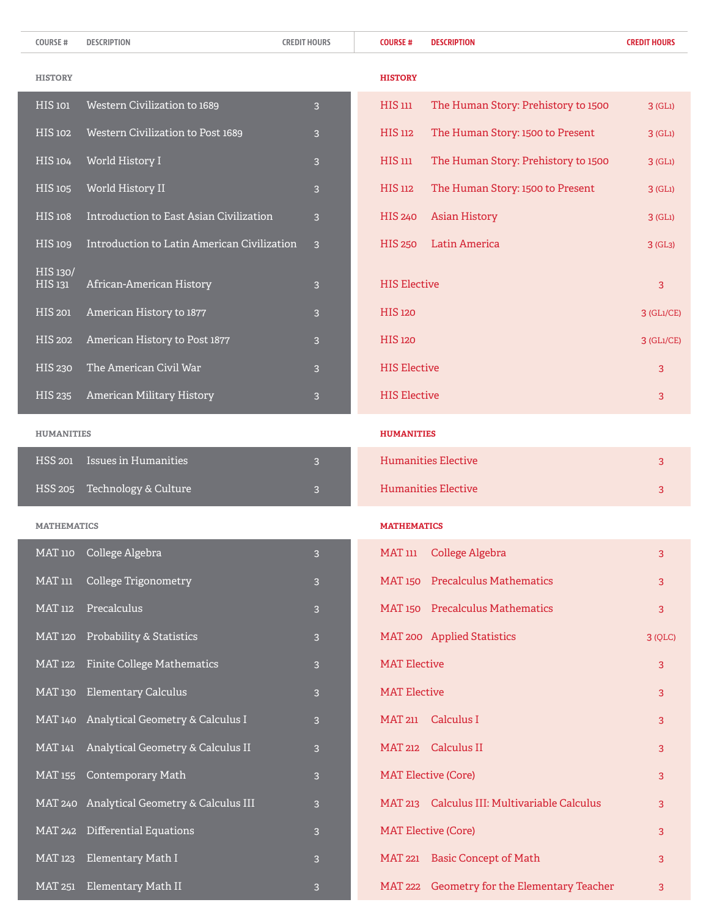| <b>COURSE#</b>      | <b>DESCRIPTION</b>                          | <b>CREDIT HOURS</b> | <b>COURSE#</b>      | <b>DESCRIPTION</b>                           | <b>CREDIT HOURS</b> |
|---------------------|---------------------------------------------|---------------------|---------------------|----------------------------------------------|---------------------|
| <b>HISTORY</b>      |                                             |                     | <b>HISTORY</b>      |                                              |                     |
| HIS 101             | Western Civilization to 1689                | 3                   | $HIS$ $111$         | The Human Story: Prehistory to 1500          | $3$ (GL1)           |
| <b>HIS 102</b>      | Western Civilization to Post 1689           | 3                   | HIS 112             | The Human Story: 1500 to Present             | $3$ (GL1)           |
| <b>HIS 104</b>      | World History I                             | 3                   | $HIS$ 111           | The Human Story: Prehistory to 1500          | $3$ (GL1)           |
| <b>HIS 105</b>      | World History II                            | 3                   | <b>HIS 112</b>      | The Human Story: 1500 to Present             | $3$ (GL1)           |
| <b>HIS 108</b>      | Introduction to East Asian Civilization     | 3                   | <b>HIS 240</b>      | <b>Asian History</b>                         | $3$ (GL1)           |
| <b>HIS109</b>       | Introduction to Latin American Civilization | 3                   | <b>HIS 250</b>      | Latin America                                | 3(GL <sub>3</sub> ) |
| HIS 130/<br>HIS 131 | African-American History                    | 3                   | <b>HIS Elective</b> |                                              | 3                   |
| <b>HIS 201</b>      | American History to 1877                    | 3                   | <b>HIS 120</b>      |                                              | $3$ (GL1/CE)        |
| <b>HIS 202</b>      | American History to Post 1877               | 3                   | <b>HIS 120</b>      |                                              | $3$ (GL1/CE)        |
| <b>HIS 230</b>      | The American Civil War                      | 3                   | <b>HIS Elective</b> |                                              | 3                   |
| <b>HIS 235</b>      | American Military History                   | 3                   | <b>HIS Elective</b> |                                              | 3                   |
| <b>HUMANITIES</b>   |                                             |                     | <b>HUMANITIES</b>   |                                              |                     |
| <b>HSS 201</b>      | <b>Issues in Humanities</b>                 | 3                   |                     | <b>Humanities Elective</b>                   | 3                   |
| <b>HSS 205</b>      | Technology & Culture                        | 3                   |                     | <b>Humanities Elective</b>                   | 3                   |
| <b>MATHEMATICS</b>  |                                             |                     | <b>MATHEMATICS</b>  |                                              |                     |
| <b>MAT 110</b>      | College Algebra                             | $\overline{3}$      | MAT 111             | College Algebra                              | 3                   |
| <b>MAT 111</b>      | College Trigonometry                        | 3                   |                     | MAT 150 Precalculus Mathematics              | 3                   |
| <b>MAT 112</b>      | Precalculus                                 | 3                   |                     | MAT 150 Precalculus Mathematics              | 3                   |
| <b>MAT 120</b>      | Probability & Statistics                    | 3                   |                     | MAT 200 Applied Statistics                   | 3 (QLC)             |
| <b>MAT 122</b>      | <b>Finite College Mathematics</b>           | 3                   | <b>MAT Elective</b> |                                              | 3                   |
| <b>MAT 130</b>      | <b>Elementary Calculus</b>                  | 3                   | <b>MAT Elective</b> |                                              | 3                   |
| <b>MAT 140</b>      | Analytical Geometry & Calculus I            | 3                   | <b>MAT 211</b>      | Calculus I                                   | 3                   |
| <b>MAT 141</b>      | Analytical Geometry & Calculus II           | 3                   |                     | MAT 212 Calculus II                          | 3                   |
| <b>MAT 155</b>      | <b>Contemporary Math</b>                    | 3                   |                     | <b>MAT Elective (Core)</b>                   | 3                   |
|                     | MAT 240 Analytical Geometry & Calculus III  | 3                   |                     | MAT 213 Calculus III: Multivariable Calculus | 3                   |
|                     | MAT 242 Differential Equations              | 3                   |                     | <b>MAT Elective (Core)</b>                   | 3                   |
| <b>MAT 123</b>      | Elementary Math I                           | 3                   |                     | MAT 221 Basic Concept of Math                | 3                   |
|                     | MAT 251 Elementary Math II                  | $\overline{3}$      |                     | MAT 222 Geometry for the Elementary Teacher  | 3                   |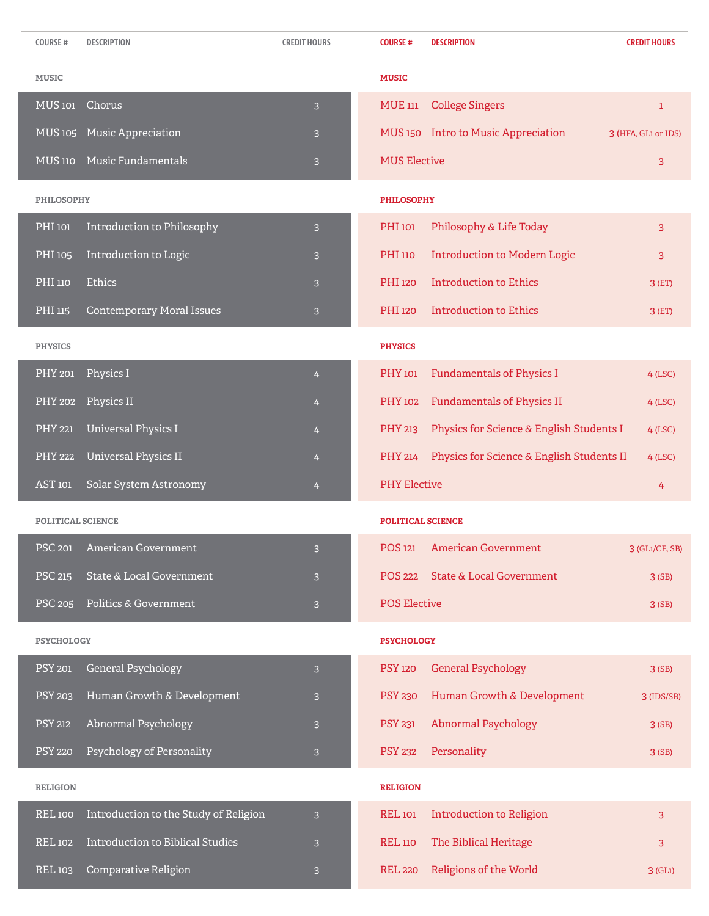| <b>COURSE#</b>     | <b>DESCRIPTION</b>                    | <b>CREDIT HOURS</b>     | <b>COURSE#</b>           | <b>DESCRIPTION</b>                        | <b>CREDIT HOURS</b> |
|--------------------|---------------------------------------|-------------------------|--------------------------|-------------------------------------------|---------------------|
| <b>MUSIC</b>       |                                       |                         | <b>MUSIC</b>             |                                           |                     |
| MUS <sub>101</sub> | Chorus                                | 3                       | <b>MUE 111</b>           | <b>College Singers</b>                    | 1                   |
| <b>MUS 105</b>     | <b>Music Appreciation</b>             | 3                       |                          | MUS 150 Intro to Music Appreciation       | 3 (HFA, GL1 or IDS) |
| $MUS$ 110          | Music Fundamentals                    | 3                       | <b>MUS Elective</b>      |                                           | 3                   |
| <b>PHILOSOPHY</b>  |                                       |                         | <b>PHILOSOPHY</b>        |                                           |                     |
| PHI 101            | Introduction to Philosophy            | 3                       | <b>PHI</b> 101           | Philosophy & Life Today                   | 3                   |
| PHI 105            | Introduction to Logic                 | 3                       | PHI 110                  | <b>Introduction to Modern Logic</b>       | 3                   |
| <b>PHI</b> 110     | Ethics                                | 3                       | <b>PHI</b> 120           | <b>Introduction to Ethics</b>             | $3$ (ET)            |
| PHI 115            | <b>Contemporary Moral Issues</b>      | 3                       | <b>PHI</b> 120           | <b>Introduction to Ethics</b>             | $3$ (ET)            |
| <b>PHYSICS</b>     |                                       |                         | <b>PHYSICS</b>           |                                           |                     |
| <b>PHY 201</b>     | Physics I                             | 4                       | <b>PHY</b> 101           | <b>Fundamentals of Physics I</b>          | $4$ (LSC)           |
| <b>PHY 202</b>     | Physics II                            | 4                       | <b>PHY</b> 102           | <b>Fundamentals of Physics II</b>         | $4$ (LSC)           |
| <b>PHY 221</b>     | <b>Universal Physics I</b>            | 4                       | PHY 213                  | Physics for Science & English Students I  | $4$ (LSC)           |
| <b>PHY 222</b>     | <b>Universal Physics II</b>           | 4                       | PHY 214                  | Physics for Science & English Students II | $4$ (LSC)           |
| AST 101            | Solar System Astronomy                | 4                       | <b>PHY Elective</b>      |                                           | 4                   |
| POLITICAL SCIENCE  |                                       |                         | <b>POLITICAL SCIENCE</b> |                                           |                     |
|                    | PSC 201 American Government           | 3                       |                          | POS 121 American Government               | 3 (GL1/CE, SB)      |
| <b>PSC 215</b>     | State & Local Government              | 3                       | <b>POS 222</b>           | <b>State &amp; Local Government</b>       | 3(SB)               |
| <b>PSC 205</b>     | Politics & Government                 | 3                       | <b>POS Elective</b>      |                                           | 3(SB)               |
| <b>PSYCHOLOGY</b>  |                                       |                         | <b>PSYCHOLOGY</b>        |                                           |                     |
| <b>PSY 201</b>     | General Psychology                    | 3                       | <b>PSY 120</b>           | <b>General Psychology</b>                 | 3(SB)               |
| <b>PSY 203</b>     | Human Growth & Development            | 3                       | <b>PSY 230</b>           | Human Growth & Development                | $3$ (IDS/SB)        |
| <b>PSY 212</b>     | Abnormal Psychology                   | 3                       | <b>PSY 231</b>           | <b>Abnormal Psychology</b>                | 3(SB)               |
| <b>PSY 220</b>     | Psychology of Personality             | 3                       | <b>PSY 232</b>           | Personality                               | 3(SB)               |
| <b>RELIGION</b>    |                                       |                         | <b>RELIGION</b>          |                                           |                     |
| <b>REL 100</b>     | Introduction to the Study of Religion | 3                       | <b>REL 101</b>           | <b>Introduction to Religion</b>           | 3                   |
| <b>REL 102</b>     | Introduction to Biblical Studies      | 3                       | <b>REL 110</b>           | The Biblical Heritage                     | 3                   |
| <b>REL 103</b>     | Comparative Religion                  | $\overline{\mathbf{3}}$ | <b>REL 220</b>           | Religions of the World                    | 3 (GL1)             |